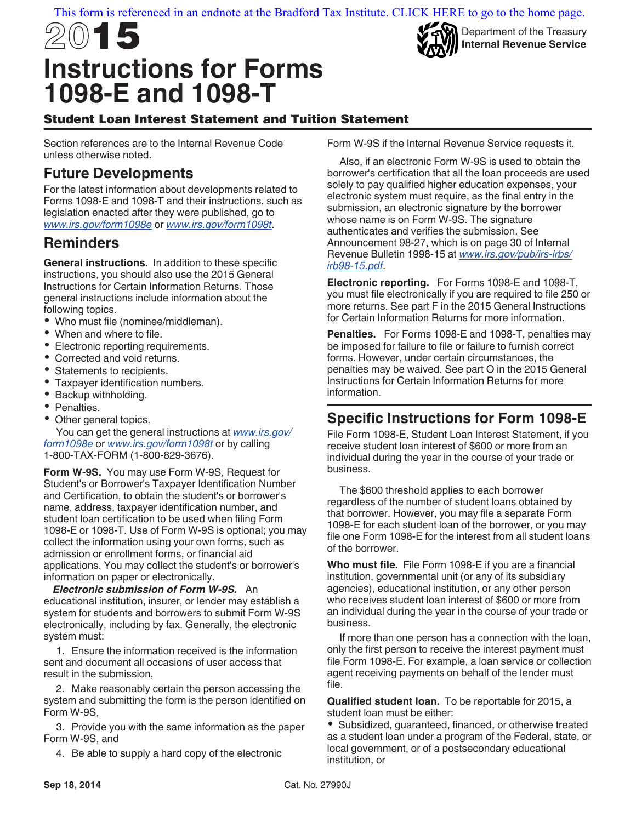#### [This form is referenced in an endnote at the Bradford Tax Institute. CLICK HERE to go to the home page.](bradfordtaxinstitute.com)

# 2015 **Instructions for Forms 1098-E and 1098-T**



Department of the Treasury **Internal Revenue Service**

# Student Loan Interest Statement and Tuition Statement

Section references are to the Internal Revenue Code unless otherwise noted.

# **Future Developments**

For the latest information about developments related to Forms 1098-E and 1098-T and their instructions, such as legislation enacted after they were published, go to *[www.irs.gov/form1098e](http://www.irs.gov/form1098e)* or *[www.irs.gov/form1098t](http://www.irs.gov/form1098t)*.

# **Reminders**

**General instructions.** In addition to these specific instructions, you should also use the 2015 General Instructions for Certain Information Returns. Those general instructions include information about the following topics.

- Who must file (nominee/middleman).
- When and where to file.
- Electronic reporting requirements.
- Corrected and void returns.
- Statements to recipients.
- Taxpayer identification numbers.
- Backup withholding.
- Penalties.
- Other general topics.

You can get the general instructions at *[www.irs.gov/](http://www.irs.gov/form1098e) [form1098e](http://www.irs.gov/form1098e)* or *[www.irs.gov/form1098t](http://www.irs.gov/form1098t)* or by calling 1-800-TAX-FORM (1-800-829-3676).

**Form W-9S.** You may use Form W-9S, Request for Student's or Borrower's Taxpayer Identification Number and Certification, to obtain the student's or borrower's name, address, taxpayer identification number, and student loan certification to be used when filing Form 1098-E or 1098-T. Use of Form W-9S is optional; you may collect the information using your own forms, such as admission or enrollment forms, or financial aid applications. You may collect the student's or borrower's information on paper or electronically.

*Electronic submission of Form W-9S.* An educational institution, insurer, or lender may establish a system for students and borrowers to submit Form W-9S electronically, including by fax. Generally, the electronic system must:

1. Ensure the information received is the information sent and document all occasions of user access that result in the submission,

2. Make reasonably certain the person accessing the system and submitting the form is the person identified on Form W-9S,

3. Provide you with the same information as the paper Form W-9S, and

4. Be able to supply a hard copy of the electronic

Form W-9S if the Internal Revenue Service requests it.

Also, if an electronic Form W-9S is used to obtain the borrower's certification that all the loan proceeds are used solely to pay qualified higher education expenses, your electronic system must require, as the final entry in the submission, an electronic signature by the borrower whose name is on Form W-9S. The signature authenticates and verifies the submission. See Announcement 98-27, which is on page 30 of Internal Revenue Bulletin 1998-15 at *[www.irs.gov/pub/irs-irbs/](http://www.irs.gov/pub/irs-irbs/irb98-15.pdf) [irb98-15.pdf](http://www.irs.gov/pub/irs-irbs/irb98-15.pdf)*.

**Electronic reporting.** For Forms 1098-E and 1098-T, you must file electronically if you are required to file 250 or more returns. See part F in the 2015 General Instructions for Certain Information Returns for more information.

**Penalties.** For Forms 1098-E and 1098-T, penalties may be imposed for failure to file or failure to furnish correct forms. However, under certain circumstances, the penalties may be waived. See part O in the 2015 General Instructions for Certain Information Returns for more information.

# **Specific Instructions for Form 1098-E**

File Form 1098-E, Student Loan Interest Statement, if you receive student loan interest of \$600 or more from an individual during the year in the course of your trade or business.

The \$600 threshold applies to each borrower regardless of the number of student loans obtained by that borrower. However, you may file a separate Form 1098-E for each student loan of the borrower, or you may file one Form 1098-E for the interest from all student loans of the borrower.

**Who must file.** File Form 1098-E if you are a financial institution, governmental unit (or any of its subsidiary agencies), educational institution, or any other person who receives student loan interest of \$600 or more from an individual during the year in the course of your trade or business.

If more than one person has a connection with the loan, only the first person to receive the interest payment must file Form 1098-E. For example, a loan service or collection agent receiving payments on behalf of the lender must file.

**Qualified student loan.** To be reportable for 2015, a student loan must be either:

Subsidized, guaranteed, financed, or otherwise treated as a student loan under a program of the Federal, state, or local government, or of a postsecondary educational institution, or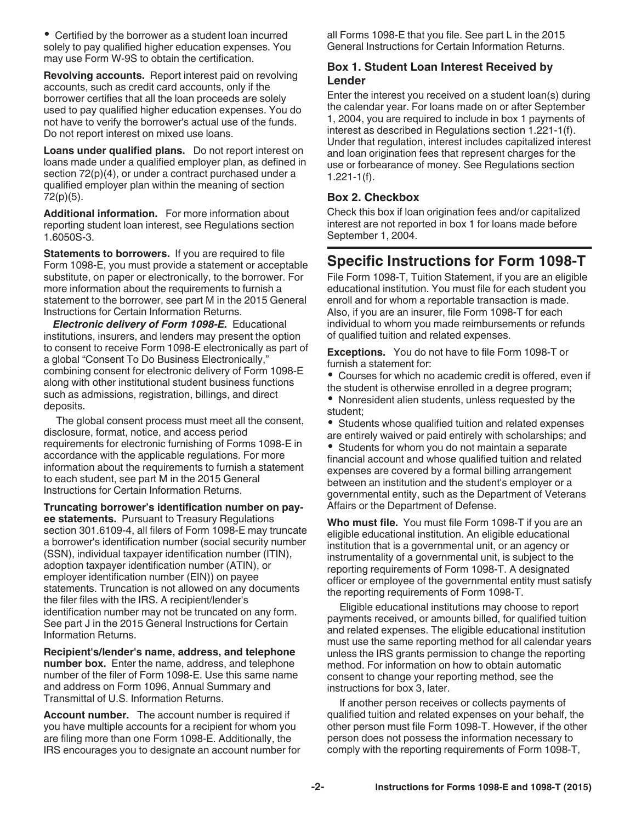Certified by the borrower as a student loan incurred solely to pay qualified higher education expenses. You may use Form W-9S to obtain the certification.

**Revolving accounts.** Report interest paid on revolving accounts, such as credit card accounts, only if the borrower certifies that all the loan proceeds are solely used to pay qualified higher education expenses. You do not have to verify the borrower's actual use of the funds. Do not report interest on mixed use loans.

**Loans under qualified plans.** Do not report interest on loans made under a qualified employer plan, as defined in section 72(p)(4), or under a contract purchased under a qualified employer plan within the meaning of section 72(p)(5).

**Additional information.** For more information about reporting student loan interest, see Regulations section 1.6050S-3.

**Statements to borrowers.** If you are required to file Form 1098-E, you must provide a statement or acceptable substitute, on paper or electronically, to the borrower. For more information about the requirements to furnish a statement to the borrower, see part M in the 2015 General Instructions for Certain Information Returns.

*Electronic delivery of Form 1098-E.* Educational institutions, insurers, and lenders may present the option to consent to receive Form 1098-E electronically as part of a global "Consent To Do Business Electronically," combining consent for electronic delivery of Form 1098-E along with other institutional student business functions such as admissions, registration, billings, and direct deposits.

The global consent process must meet all the consent, disclosure, format, notice, and access period requirements for electronic furnishing of Forms 1098-E in accordance with the applicable regulations. For more information about the requirements to furnish a statement to each student, see part M in the 2015 General Instructions for Certain Information Returns.

**Truncating borrower's identification number on payee statements.** Pursuant to Treasury Regulations section 301.6109-4, all filers of Form 1098-E may truncate a borrower's identification number (social security number (SSN), individual taxpayer identification number (ITIN), adoption taxpayer identification number (ATIN), or employer identification number (EIN)) on payee statements. Truncation is not allowed on any documents the filer files with the IRS. A recipient/lender's identification number may not be truncated on any form. See part J in the 2015 General Instructions for Certain Information Returns.

**Recipient's/lender's name, address, and telephone number box.** Enter the name, address, and telephone number of the filer of Form 1098-E. Use this same name and address on Form 1096, Annual Summary and Transmittal of U.S. Information Returns.

**Account number.** The account number is required if you have multiple accounts for a recipient for whom you are filing more than one Form 1098-E. Additionally, the IRS encourages you to designate an account number for all Forms 1098-E that you file. See part L in the 2015 General Instructions for Certain Information Returns.

#### **Box 1. Student Loan Interest Received by Lender**

Enter the interest you received on a student loan(s) during the calendar year. For loans made on or after September 1, 2004, you are required to include in box 1 payments of interest as described in Regulations section 1.221-1(f). Under that regulation, interest includes capitalized interest and loan origination fees that represent charges for the use or forbearance of money. See Regulations section 1.221-1(f).

#### **Box 2. Checkbox**

Check this box if loan origination fees and/or capitalized interest are not reported in box 1 for loans made before September 1, 2004.

# **Specific Instructions for Form 1098-T**

File Form 1098-T, Tuition Statement, if you are an eligible educational institution. You must file for each student you enroll and for whom a reportable transaction is made. Also, if you are an insurer, file Form 1098-T for each individual to whom you made reimbursements or refunds of qualified tuition and related expenses.

**Exceptions.** You do not have to file Form 1098-T or furnish a statement for:

Courses for which no academic credit is offered, even if the student is otherwise enrolled in a degree program;

Nonresident alien students, unless requested by the student;

• Students whose qualified tuition and related expenses are entirely waived or paid entirely with scholarships; and

Students for whom you do not maintain a separate financial account and whose qualified tuition and related expenses are covered by a formal billing arrangement between an institution and the student's employer or a governmental entity, such as the Department of Veterans Affairs or the Department of Defense.

**Who must file.** You must file Form 1098-T if you are an eligible educational institution. An eligible educational institution that is a governmental unit, or an agency or instrumentality of a governmental unit, is subject to the reporting requirements of Form 1098-T. A designated officer or employee of the governmental entity must satisfy the reporting requirements of Form 1098-T.

Eligible educational institutions may choose to report payments received, or amounts billed, for qualified tuition and related expenses. The eligible educational institution must use the same reporting method for all calendar years unless the IRS grants permission to change the reporting method. For information on how to obtain automatic consent to change your reporting method, see the instructions for box 3, later.

If another person receives or collects payments of qualified tuition and related expenses on your behalf, the other person must file Form 1098-T. However, if the other person does not possess the information necessary to comply with the reporting requirements of Form 1098-T,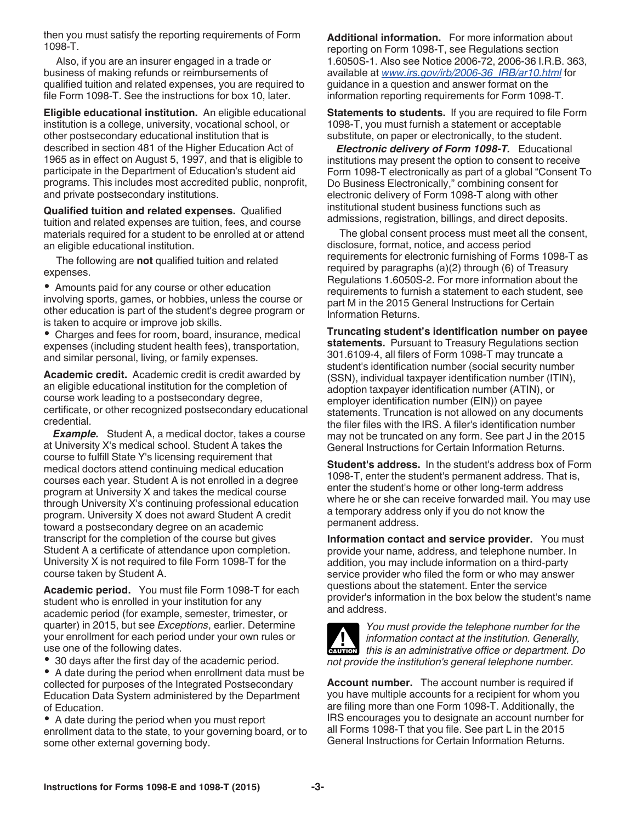then you must satisfy the reporting requirements of Form 1098-T.

Also, if you are an insurer engaged in a trade or business of making refunds or reimbursements of qualified tuition and related expenses, you are required to file Form 1098-T. See the instructions for box 10, later.

**Eligible educational institution.** An eligible educational institution is a college, university, vocational school, or other postsecondary educational institution that is described in section 481 of the Higher Education Act of 1965 as in effect on August 5, 1997, and that is eligible to participate in the Department of Education's student aid programs. This includes most accredited public, nonprofit, and private postsecondary institutions.

**Qualified tuition and related expenses.** Qualified tuition and related expenses are tuition, fees, and course materials required for a student to be enrolled at or attend an eligible educational institution.

The following are **not** qualified tuition and related expenses.

Amounts paid for any course or other education involving sports, games, or hobbies, unless the course or other education is part of the student's degree program or is taken to acquire or improve job skills.

Charges and fees for room, board, insurance, medical expenses (including student health fees), transportation, and similar personal, living, or family expenses.

**Academic credit.** Academic credit is credit awarded by an eligible educational institution for the completion of course work leading to a postsecondary degree, certificate, or other recognized postsecondary educational credential.

*Example.* Student A, a medical doctor, takes a course at University X's medical school. Student A takes the course to fulfill State Y's licensing requirement that medical doctors attend continuing medical education courses each year. Student A is not enrolled in a degree program at University X and takes the medical course through University X's continuing professional education program. University X does not award Student A credit toward a postsecondary degree on an academic transcript for the completion of the course but gives Student A a certificate of attendance upon completion. University X is not required to file Form 1098-T for the course taken by Student A.

**Academic period.** You must file Form 1098-T for each student who is enrolled in your institution for any academic period (for example, semester, trimester, or quarter) in 2015, but see *Exceptions*, earlier. Determine your enrollment for each period under your own rules or use one of the following dates.

30 days after the first day of the academic period.

A date during the period when enrollment data must be collected for purposes of the Integrated Postsecondary Education Data System administered by the Department of Education.

A date during the period when you must report enrollment data to the state, to your governing board, or to some other external governing body.

**Additional information.** For more information about reporting on Form 1098-T, see Regulations section 1.6050S-1. Also see Notice 2006-72, 2006-36 I.R.B. 363, available at *[www.irs.gov/irb/2006-36\\_IRB/ar10.html](http://www.irs.gov/irb/2006-36_IRB/ar10.html)* for guidance in a question and answer format on the information reporting requirements for Form 1098-T.

**Statements to students.** If you are required to file Form 1098-T, you must furnish a statement or acceptable substitute, on paper or electronically, to the student.

*Electronic delivery of Form 1098-T.* Educational institutions may present the option to consent to receive Form 1098-T electronically as part of a global "Consent To Do Business Electronically," combining consent for electronic delivery of Form 1098-T along with other institutional student business functions such as admissions, registration, billings, and direct deposits.

The global consent process must meet all the consent, disclosure, format, notice, and access period requirements for electronic furnishing of Forms 1098-T as required by paragraphs (a)(2) through (6) of Treasury Regulations 1.6050S-2. For more information about the requirements to furnish a statement to each student, see part M in the 2015 General Instructions for Certain Information Returns.

**Truncating student's identification number on payee statements.** Pursuant to Treasury Regulations section 301.6109-4, all filers of Form 1098-T may truncate a student's identification number (social security number (SSN), individual taxpayer identification number (ITIN), adoption taxpayer identification number (ATIN), or employer identification number (EIN)) on payee statements. Truncation is not allowed on any documents the filer files with the IRS. A filer's identification number may not be truncated on any form. See part J in the 2015 General Instructions for Certain Information Returns.

**Student's address.** In the student's address box of Form 1098-T, enter the student's permanent address. That is, enter the student's home or other long-term address where he or she can receive forwarded mail. You may use a temporary address only if you do not know the permanent address.

**Information contact and service provider.** You must provide your name, address, and telephone number. In addition, you may include information on a third-party service provider who filed the form or who may answer questions about the statement. Enter the service provider's information in the box below the student's name and address.



*You must provide the telephone number for the information contact at the institution. Generally, this is an administrative office or department. Do*  $\overline{\phantom{a}}$ *not provide the institution's general telephone number.*

**Account number.** The account number is required if you have multiple accounts for a recipient for whom you are filing more than one Form 1098-T. Additionally, the IRS encourages you to designate an account number for all Forms 1098-T that you file. See part L in the 2015 General Instructions for Certain Information Returns.